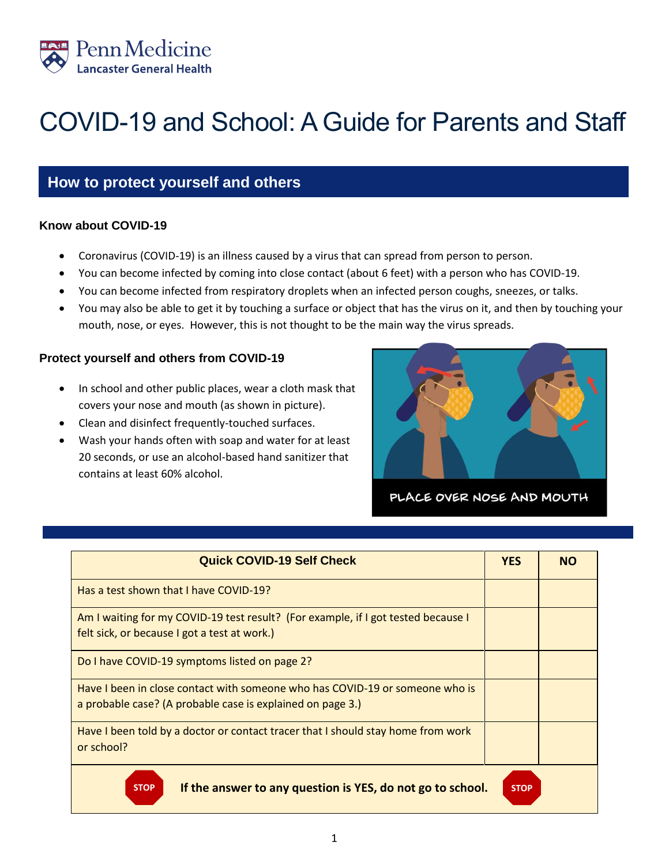

# COVID-19 and School: A Guide for Parents and Staff

# **How to protect yourself and others**

#### **Know about COVID-19**

- Coronavirus (COVID-19) is an illness caused by a virus that can spread from person to person.
- You can become infected by coming into close contact (about 6 feet) with a person who has COVID-19.
- You can become infected from respiratory droplets when an infected person coughs, sneezes, or talks.
- You may also be able to get it by touching a surface or object that has the virus on it, and then by touching your mouth, nose, or eyes. However, this is not thought to be the main way the virus spreads.

# **Protect yourself and others from COVID-19**

- In school and other public places, wear a cloth mask that covers your nose and mouth (as shown in picture).
- Clean and disinfect frequently-touched surfaces.
- Wash your hands often with soap and water for at least 20 seconds, or use an alcohol-based hand sanitizer that contains at least 60% alcohol.



PLACE OVER NOSE AND MOUTH

| <b>Quick COVID-19 Self Check</b>                                                                                                           | <b>YES</b>  | <b>NO</b> |
|--------------------------------------------------------------------------------------------------------------------------------------------|-------------|-----------|
| Has a test shown that I have COVID-19?                                                                                                     |             |           |
| Am I waiting for my COVID-19 test result? (For example, if I got tested because I<br>felt sick, or because I got a test at work.)          |             |           |
| Do I have COVID-19 symptoms listed on page 2?                                                                                              |             |           |
| Have I been in close contact with someone who has COVID-19 or someone who is<br>a probable case? (A probable case is explained on page 3.) |             |           |
| Have I been told by a doctor or contact tracer that I should stay home from work<br>or school?                                             |             |           |
| If the answer to any question is YES, do not go to school.<br><b>STOP</b>                                                                  | <b>STOP</b> |           |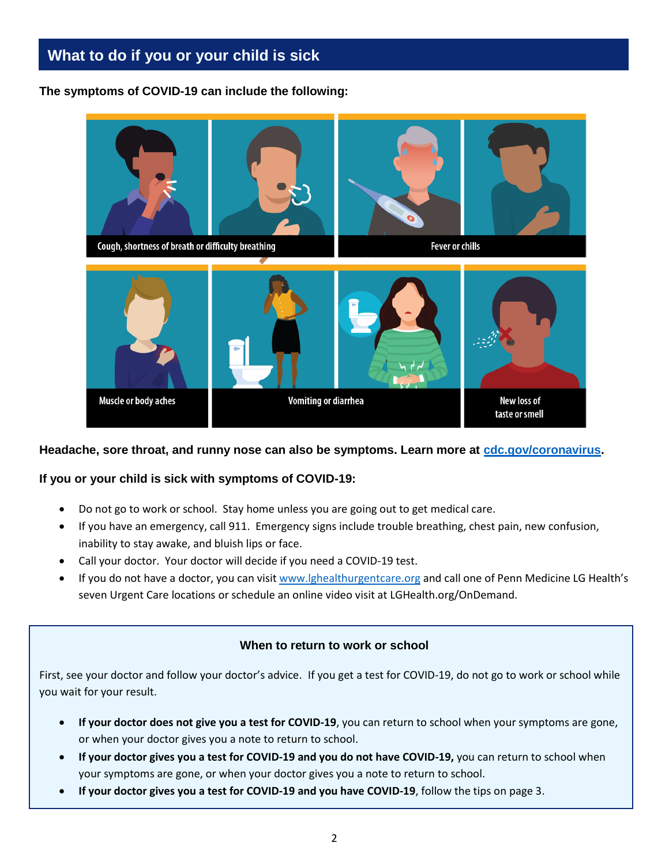# **What to do if you or your child is sick**

**The symptoms of COVID-19 can include the following:**



#### **Headache, sore throat, and runny nose can also be symptoms. Learn more at [cdc.gov/coronavirus.](file:///C:/Users/jg074/AppData/Local/Microsoft/Windows/INetCache/Content.Outlook/VCQ5VQI4/cdc.gov/coronavirus)**

# **If you or your child is sick with symptoms of COVID-19:**

- Do not go to work or school. Stay home unless you are going out to get medical care.
- If you have an emergency, call 911. Emergency signs include trouble breathing, chest pain, new confusion, inability to stay awake, and bluish lips or face.
- Call your doctor. Your doctor will decide if you need a COVID-19 test.
- If you do not have a doctor, you can visi[t www.lghealthurgentcare.org](http://www.lghealthurgentcare.org/) and call one of Penn Medicine LG Health's seven Urgent Care locations or schedule an online video visit at LGHealth.org/OnDemand.

# **When to return to work or school**

First, see your doctor and follow your doctor's advice.If you get a test for COVID-19, do not go to work or school while you wait for your result.

- **If your doctor does not give you a test for COVID-19**, you can return to school when your symptoms are gone, or when your doctor gives you a note to return to school.
- **If your doctor gives you a test for COVID-19 and you do not have COVID-19,** you can return to school when your symptoms are gone, or when your doctor gives you a note to return to school.
- **If your doctor gives you a test for COVID-19 and you have COVID-19**, follow the tips on page 3.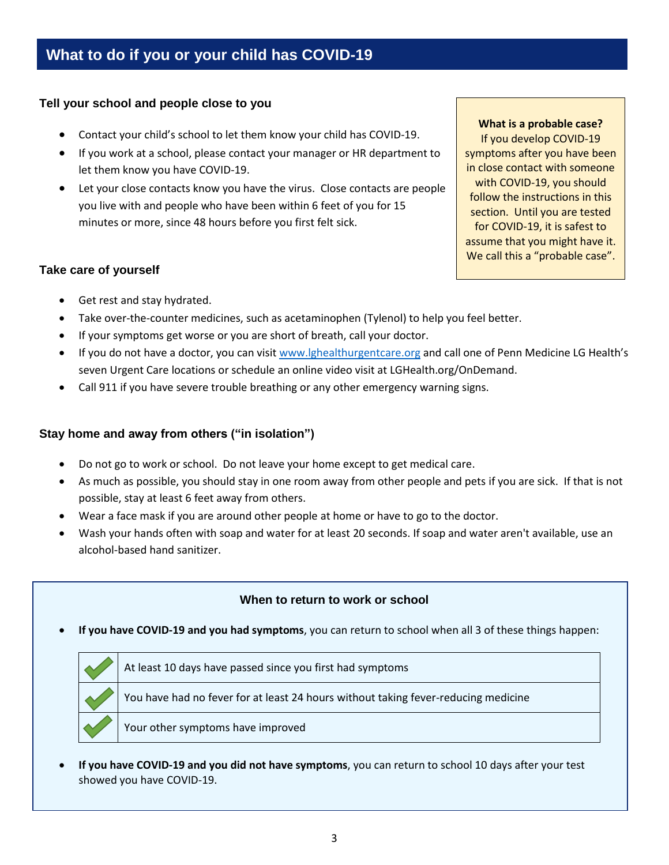# **Tell your school and people close to you**

- Contact your child's school to let them know your child has COVID-19.
- If you work at a school, please contact your manager or HR department to let them know you have COVID-19.
- Let your close contacts know you have the virus. Close contacts are people you live with and people who have been within 6 feet of you for 15 minutes or more, since 48 hours before you first felt sick.

# **Take care of yourself**

**What is a probable case?**

If you develop COVID-19 symptoms after you have been in close contact with someone with COVID-19, you should follow the instructions in this section. Until you are tested for COVID-19, it is safest to assume that you might have it. We call this a "probable case".

- Get rest and stay hydrated.
- Take over-the-counter medicines, such as acetaminophen (Tylenol) to help you feel better.
- If your symptoms get worse or you are short of breath, call your doctor.
- If you do not have a doctor, you can visi[t www.lghealthurgentcare.org](http://www.lghealthurgentcare.org/) and call one of Penn Medicine LG Health's seven Urgent Care locations or schedule an online video visit at LGHealth.org/OnDemand.
- Call 911 if you have severe trouble breathing or any other emergency warning signs.

# **Stay home and away from others ("in isolation")**

- Do not go to work or school. Do not leave your home except to get medical care.
- As much as possible, you should stay in one room away from other people and pets if you are sick. If that is not possible, stay at least 6 feet away from others.
- Wear a face mask if you are around other people at home or have to go to the doctor.
- Wash your hands often with soap and water for at least 20 seconds. If soap and water aren't available, use an alcohol-based hand sanitizer.

# **When to return to work or school**

**If you have COVID-19 and you had symptoms**, you can return to school when all 3 of these things happen:



At least 10 days have passed since you first had symptoms

You have had no fever for at least 24 hours without taking fever-reducing medicine

Your other symptoms have improved

 **If you have COVID-19 and you did not have symptoms**, you can return to school 10 days after your test showed you have COVID-19.